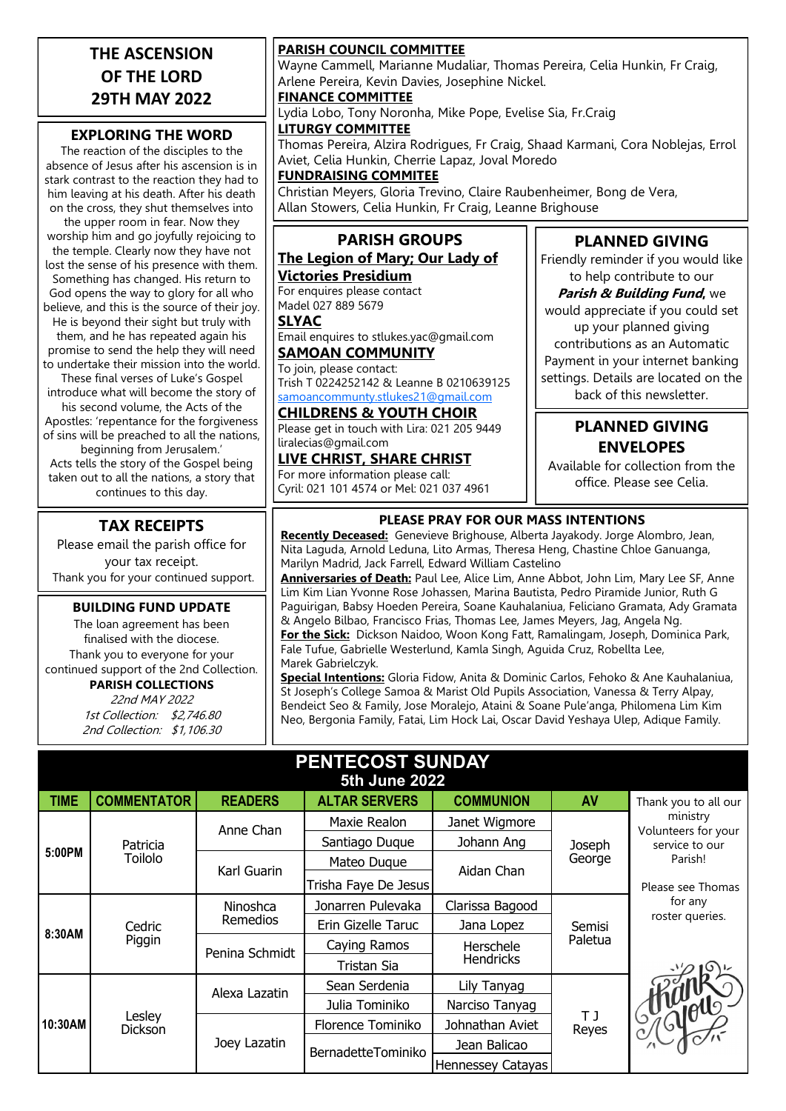### **THE ASCENSION OF THE LORD 29TH MAY 2022**

#### **EXPLORING THE WORD**

The reaction of the disciples to the absence of Jesus after his ascension is in stark contrast to the reaction they had to him leaving at his death. After his death on the cross, they shut themselves into

the upper room in fear. Now they worship him and go joyfully rejoicing to the temple. Clearly now they have not lost the sense of his presence with them. Something has changed. His return to God opens the way to glory for all who believe, and this is the source of their joy.

He is beyond their sight but truly with them, and he has repeated again his promise to send the help they will need to undertake their mission into the world.

These final verses of Luke's Gospel introduce what will become the story of his second volume, the Acts of the Apostles: 'repentance for the forgiveness of sins will be preached to all the nations, beginning from Jerusalem.' Acts tells the story of the Gospel being taken out to all the nations, a story that continues to this day.

#### **TAX RECEIPTS**

Please email the parish office for your tax receipt. Thank you for your continued support.

#### **BUILDING FUND UPDATE**

The loan agreement has been finalised with the diocese. Thank you to everyone for your continued support of the 2nd Collection. **PARISH COLLECTIONS**

> 22nd MAY 2022 1st Collection: \$2,746.80 2nd Collection: \$1,106.30

#### **PARISH COUNCIL COMMITTEE**

Wayne Cammell, Marianne Mudaliar, Thomas Pereira, Celia Hunkin, Fr Craig, Arlene Pereira, Kevin Davies, Josephine Nickel.

**FINANCE COMMITTEE**

Lydia Lobo, Tony Noronha, Mike Pope, Evelise Sia, Fr.Craig

**LITURGY COMMITTEE** Thomas Pereira, Alzira Rodrigues, Fr Craig, Shaad Karmani, Cora Noblejas, Errol Aviet, Celia Hunkin, Cherrie Lapaz, Joval Moredo

**FUNDRAISING COMMITEE**

Christian Meyers, Gloria Trevino, Claire Raubenheimer, Bong de Vera, Allan Stowers, Celia Hunkin, Fr Craig, Leanne Brighouse

#### **PARISH GROUPS The Legion of Mary; Our Lady of**

**Victories Presidium** For enquires please contact Madel 027 889 5679

**SLYAC**

Email enquires to stlukes.yac@gmail.com **SAMOAN COMMUNITY**

To join, please contact: Trish T 0224252142 & Leanne B 0210639125 [samoancommunty.stlukes21@gmail.com](mailto:samoancommunity.stlukes21@gmail.com)

#### **CHILDRENS & YOUTH CHOIR**

Please get in touch with Lira: 021 205 9449 liralecias@gmail.com

**LIVE CHRIST, SHARE CHRIST** For more information please call: Cyril: 021 101 4574 or Mel: 021 037 4961

#### **PLANNED GIVING**

Friendly reminder if you would like to help contribute to our

**Parish & Building Fund,** we would appreciate if you could set up your planned giving contributions as an Automatic Payment in your internet banking settings. Details are located on the back of this newsletter.

#### **PLANNED GIVING ENVELOPES**

Available for collection from the office. Please see Celia.

#### **PLEASE PRAY FOR OUR MASS INTENTIONS**

**Recently Deceased:** Genevieve Brighouse, Alberta Jayakody. Jorge Alombro, Jean, Nita Laguda, Arnold Leduna, Lito Armas, Theresa Heng, Chastine Chloe Ganuanga, Marilyn Madrid, Jack Farrell, Edward William Castelino

**Anniversaries of Death:** Paul Lee, Alice Lim, Anne Abbot, John Lim, Mary Lee SF, Anne Lim Kim Lian Yvonne Rose Johassen, Marina Bautista, Pedro Piramide Junior, Ruth G Paguirigan, Babsy Hoeden Pereira, Soane Kauhalaniua, Feliciano Gramata, Ady Gramata & Angelo Bilbao, Francisco Frias, Thomas Lee, James Meyers, Jag, Angela Ng. **For the Sick:** Dickson Naidoo, Woon Kong Fatt, Ramalingam, Joseph, Dominica Park, Fale Tufue, Gabrielle Westerlund, Kamla Singh, Aguida Cruz, Robellta Lee, Marek Gabrielczyk.

**Special Intentions:** Gloria Fidow, Anita & Dominic Carlos, Fehoko & Ane Kauhalaniua, St Joseph's College Samoa & Marist Old Pupils Association, Vanessa & Terry Alpay, Bendeict Seo & Family, Jose Moralejo, Ataini & Soane Pule'anga, Philomena Lim Kim Neo, Bergonia Family, Fatai, Lim Hock Lai, Oscar David Yeshaya Ulep, Adique Family.

| PENTECOST SUNDAY<br><b>5th June 2022</b> |                     |                      |                      |                               |                   |                                 |
|------------------------------------------|---------------------|----------------------|----------------------|-------------------------------|-------------------|---------------------------------|
| <b>TIME</b>                              | <b>COMMENTATOR</b>  | <b>READERS</b>       | <b>ALTAR SERVERS</b> | <b>COMMUNION</b>              | AV                | Thank you to all our            |
| 5:00PM                                   | Patricia<br>Toilolo | Anne Chan            | Maxie Realon         | Janet Wigmore                 | Joseph<br>George  | ministry<br>Volunteers for your |
|                                          |                     |                      | Santiago Duque       | Johann Ang                    |                   | service to our<br>Parish!       |
|                                          |                     | Karl Guarin          | Mateo Duque          | Aidan Chan                    |                   |                                 |
|                                          |                     |                      | Trisha Faye De Jesus |                               |                   | Please see Thomas               |
| 8:30AM                                   | Cedric<br>Piggin    | Ninoshca<br>Remedios | Jonarren Pulevaka    | Clarissa Bagood               | Semisi<br>Paletua | for any                         |
|                                          |                     |                      | Erin Gizelle Taruc   | Jana Lopez                    |                   | roster queries.                 |
|                                          |                     | Penina Schmidt       | Caying Ramos         | Herschele<br><b>Hendricks</b> |                   |                                 |
|                                          |                     |                      | Tristan Sia          |                               |                   |                                 |
| 10:30AM                                  | Lesley<br>Dickson   | Alexa Lazatin        | Sean Serdenia        | Lily Tanyag                   | T J<br>Reyes      |                                 |
|                                          |                     |                      | Julia Tominiko       | Narciso Tanyag                |                   | I Strated                       |
|                                          |                     | Joey Lazatin         | Florence Tominiko    | Johnathan Aviet               |                   |                                 |
|                                          |                     |                      | BernadetteTominiko   | Jean Balicao                  |                   |                                 |
|                                          |                     |                      |                      | Hennessey Catayas             |                   |                                 |